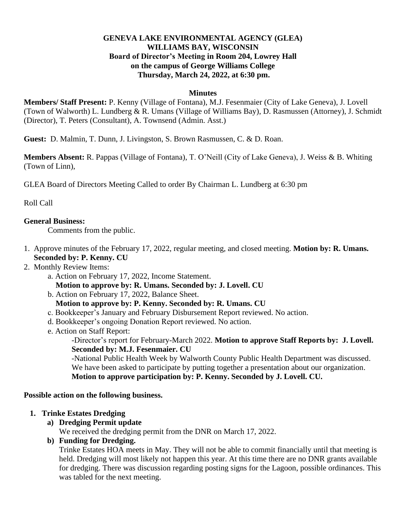#### **GENEVA LAKE ENVIRONMENTAL AGENCY (GLEA) WILLIAMS BAY, WISCONSIN Board of Director's Meeting in Room 204, Lowrey Hall on the campus of George Williams College Thursday, March 24, 2022, at 6:30 pm.**

#### **Minutes**

**Members/ Staff Present:** P. Kenny (Village of Fontana), M.J. Fesenmaier (City of Lake Geneva), J. Lovell (Town of Walworth) L. Lundberg & R. Umans (Village of Williams Bay), D. Rasmussen (Attorney), J. Schmidt (Director), T. Peters (Consultant), A. Townsend (Admin. Asst.)

**Guest:** D. Malmin, T. Dunn, J. Livingston, S. Brown Rasmussen, C. & D. Roan.

**Members Absent:** R. Pappas (Village of Fontana), T. O'Neill (City of Lake Geneva), J. Weiss & B. Whiting (Town of Linn),

GLEA Board of Directors Meeting Called to order By Chairman L. Lundberg at 6:30 pm

Roll Call

#### **General Business:**

Comments from the public.

- 1.Approve minutes of the February 17, 2022, regular meeting, and closed meeting. **Motion by: R. Umans. Seconded by: P. Kenny. CU**
- 2. Monthly Review Items:
	- a. Action on February 17, 2022, Income Statement. **Motion to approve by: R. Umans. Seconded by: J. Lovell. CU**
	- b. Action on February 17, 2022, Balance Sheet.
	- **Motion to approve by: P. Kenny. Seconded by: R. Umans. CU**
	- c. Bookkeeper's January and February Disbursement Report reviewed. No action.
	- d. Bookkeeper's ongoing Donation Report reviewed. No action.
	- e. Action on Staff Report:

-Director's report for February-March 2022. **Motion to approve Staff Reports by: J. Lovell. Seconded by: M.J. Fesenmaier. CU**

-National Public Health Week by Walworth County Public Health Department was discussed. We have been asked to participate by putting together a presentation about our organization. **Motion to approve participation by: P. Kenny. Seconded by J. Lovell. CU.**

#### **Possible action on the following business.**

#### **1. Trinke Estates Dredging**

#### **a) Dredging Permit update**

We received the dredging permit from the DNR on March 17, 2022.

#### **b) Funding for Dredging.**

Trinke Estates HOA meets in May. They will not be able to commit financially until that meeting is held. Dredging will most likely not happen this year. At this time there are no DNR grants available for dredging. There was discussion regarding posting signs for the Lagoon, possible ordinances. This was tabled for the next meeting.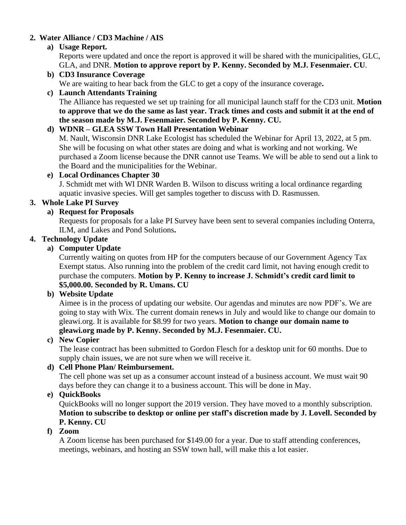## **2. Water Alliance / CD3 Machine / AIS**

## **a) Usage Report.**

Reports were updated and once the report is approved it will be shared with the municipalities, GLC, GLA, and DNR. **Motion to approve report by P. Kenny. Seconded by M.J. Fesenmaier. CU**.

## **b) CD3 Insurance Coverage**

We are waiting to hear back from the GLC to get a copy of the insurance coverage**.** 

# **c) Launch Attendants Training**

The Alliance has requested we set up training for all municipal launch staff for the CD3 unit. **Motion to approve that we do the same as last year. Track times and costs and submit it at the end of the season made by M.J. Fesenmaier. Seconded by P. Kenny. CU.** 

# **d) WDNR – GLEA SSW Town Hall Presentation Webinar**

M. Nault, Wisconsin DNR Lake Ecologist has scheduled the Webinar for April 13, 2022, at 5 pm. She will be focusing on what other states are doing and what is working and not working. We purchased a Zoom license because the DNR cannot use Teams. We will be able to send out a link to the Board and the municipalities for the Webinar.

## **e) Local Ordinances Chapter 30**

J. Schmidt met with WI DNR Warden B. Wilson to discuss writing a local ordinance regarding aquatic invasive species. Will get samples together to discuss with D. Rasmussen.

## **3. Whole Lake PI Survey**

# **a) Request for Proposals**

Requests for proposals for a lake PI Survey have been sent to several companies including Onterra, ILM, and Lakes and Pond Solutions**.** 

## **4. Technology Update**

## **a) Computer Update**

Currently waiting on quotes from HP for the computers because of our Government Agency Tax Exempt status. Also running into the problem of the credit card limit, not having enough credit to purchase the computers. **Motion by P. Kenny to increase J. Schmidt's credit card limit to \$5,000.00. Seconded by R. Umans. CU**

#### **b) Website Update**

Aimee is in the process of updating our website. Our agendas and minutes are now PDF's. We are going to stay with Wix. The current domain renews in July and would like to change our domain to gleawi.org. It is available for \$8.99 for two years. **Motion to change our domain name to gleawi.org made by P. Kenny. Seconded by M.J. Fesenmaier. CU.**

#### **c) New Copier**

The lease contract has been submitted to Gordon Flesch for a desktop unit for 60 months. Due to supply chain issues, we are not sure when we will receive it.

# **d) Cell Phone Plan/ Reimbursement.**

The cell phone was set up as a consumer account instead of a business account. We must wait 90 days before they can change it to a business account. This will be done in May.

#### **e) QuickBooks**

QuickBooks will no longer support the 2019 version. They have moved to a monthly subscription. **Motion to subscribe to desktop or online per staff's discretion made by J. Lovell. Seconded by P. Kenny. CU** 

#### **f) Zoom**

A Zoom license has been purchased for \$149.00 for a year. Due to staff attending conferences, meetings, webinars, and hosting an SSW town hall, will make this a lot easier.